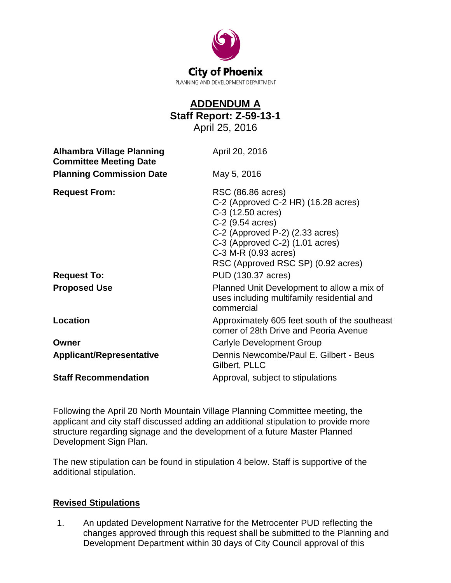

## **ADDENDUM A Staff Report: Z-59-13-1** April 25, 2016 **Alhambra Village Planning Committee Meeting Date** April 20, 2016 **Planning Commission Date** May 5, 2016 **Request From:** RSC (86.86 acres) C-2 (Approved C-2 HR) (16.28 acres) C-3 (12.50 acres) C-2 (9.54 acres) C-2 (Approved P-2) (2.33 acres) C-3 (Approved C-2) (1.01 acres) C-3 M-R (0.93 acres) RSC (Approved RSC SP) (0.92 acres) **Request To:** PUD (130.37 acres) **Proposed Use** Planned Unit Development to allow a mix of uses including multifamily residential and commercial **Location Location Approximately 605 feet south of the southeast** corner of 28th Drive and Peoria Avenue **Owner** Carlyle Development Group **Applicant/Representative** Dennis Newcombe/Paul E. Gilbert - Beus Gilbert, PLLC **Staff Recommendation Approval, subject to stipulations**

Following the April 20 North Mountain Village Planning Committee meeting, the applicant and city staff discussed adding an additional stipulation to provide more structure regarding signage and the development of a future Master Planned Development Sign Plan.

The new stipulation can be found in stipulation 4 below. Staff is supportive of the additional stipulation.

## **Revised Stipulations**

1. An updated Development Narrative for the Metrocenter PUD reflecting the changes approved through this request shall be submitted to the Planning and Development Department within 30 days of City Council approval of this